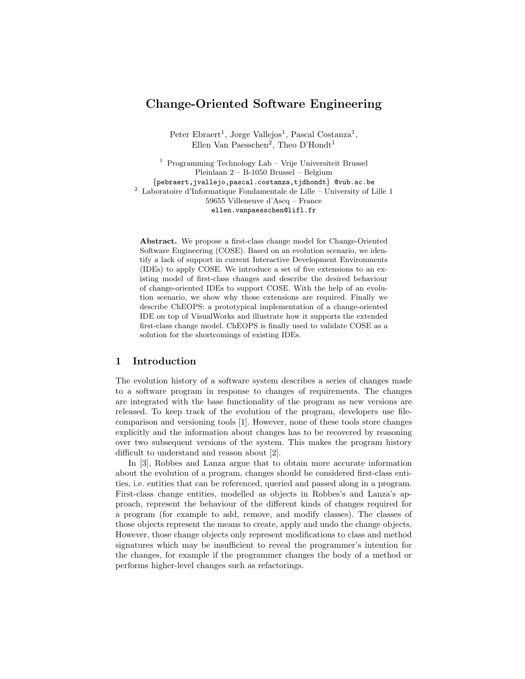# Change-Oriented Software Engineering

Peter Ebraert<sup>1</sup>, Jorge Vallejos<sup>1</sup>, Pascal Costanza<sup>1</sup>, Ellen Van Paesschen<sup>2</sup>, Theo D'Hondt<sup>1</sup>

 $1$  Programming Technology Lab – Vrije Universiteit Brussel Pleinlaan 2 – B-1050 Brussel – Belgium {pebraert,jvallejo,pascal.costanza,tjdhondt} @vub.ac.be  $^{\rm 2}$  Laboratoire d'Informatique Fondamentale de Lille – University of Lille 1 59655 Villeneuve d'Ascq – France ellen.vanpaesschen@lifl.fr

Abstract. We propose a first-class change model for Change-Oriented Software Engineering (COSE). Based on an evolution scenario, we identify a lack of support in current Interactive Development Environments (IDEs) to apply COSE. We introduce a set of five extensions to an existing model of first-class changes and describe the desired behaviour of change-oriented IDEs to support COSE. With the help of an evolution scenario, we show why those extensions are required. Finally we describe ChEOPS: a prototypical implementation of a change-oriented IDE on top of VisualWorks and illustrate how it supports the extended first-class change model. ChEOPS is finally used to validate COSE as a solution for the shortcomings of existing IDEs.

### 1 Introduction

The evolution history of a software system describes a series of changes made to a software program in response to changes of requirements. The changes are integrated with the base functionality of the program as new versions are released. To keep track of the evolution of the program, developers use filecomparison and versioning tools [1]. However, none of these tools store changes explicitly and the information about changes has to be recovered by reasoning over two subsequent versions of the system. This makes the program history difficult to understand and reason about [2].

In [3], Robbes and Lanza argue that to obtain more accurate information about the evolution of a program, changes should be considered first-class entities, i.e. entities that can be referenced, queried and passed along in a program. First-class change entities, modelled as objects in Robbes's and Lanza's approach, represent the behaviour of the different kinds of changes required for a program (for example to add, remove, and modify classes). The classes of those objects represent the means to create, apply and undo the change objects. However, those change objects only represent modifications to class and method signatures which may be insufficient to reveal the programmer's intention for the changes, for example if the programmer changes the body of a method or performs higher-level changes such as refactorings.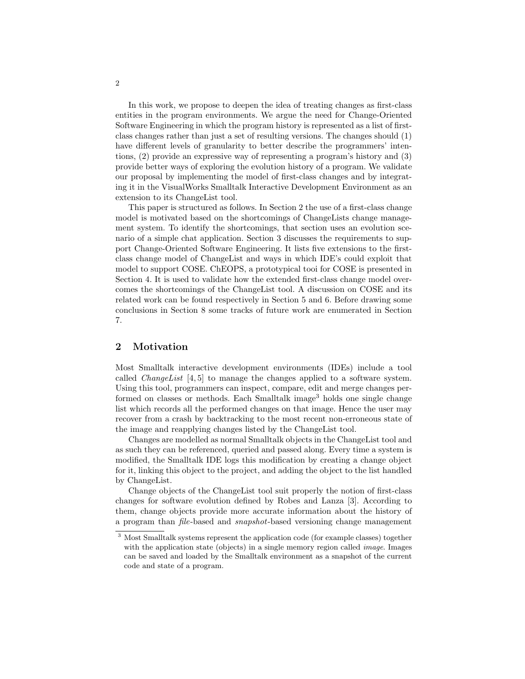In this work, we propose to deepen the idea of treating changes as first-class entities in the program environments. We argue the need for Change-Oriented Software Engineering in which the program history is represented as a list of firstclass changes rather than just a set of resulting versions. The changes should (1) have different levels of granularity to better describe the programmers' intentions, (2) provide an expressive way of representing a program's history and (3) provide better ways of exploring the evolution history of a program. We validate our proposal by implementing the model of first-class changes and by integrating it in the VisualWorks Smalltalk Interactive Development Environment as an extension to its ChangeList tool.

This paper is structured as follows. In Section 2 the use of a first-class change model is motivated based on the shortcomings of ChangeLists change management system. To identify the shortcomings, that section uses an evolution scenario of a simple chat application. Section 3 discusses the requirements to support Change-Oriented Software Engineering. It lists five extensions to the firstclass change model of ChangeList and ways in which IDE's could exploit that model to support COSE. ChEOPS, a prototypical tooi for COSE is presented in Section 4. It is used to validate how the extended first-class change model overcomes the shortcomings of the ChangeList tool. A discussion on COSE and its related work can be found respectively in Section 5 and 6. Before drawing some conclusions in Section 8 some tracks of future work are enumerated in Section 7.

## 2 Motivation

Most Smalltalk interactive development environments (IDEs) include a tool called ChangeList [4, 5] to manage the changes applied to a software system. Using this tool, programmers can inspect, compare, edit and merge changes performed on classes or methods. Each Smalltalk image<sup>3</sup> holds one single change list which records all the performed changes on that image. Hence the user may recover from a crash by backtracking to the most recent non-erroneous state of the image and reapplying changes listed by the ChangeList tool.

Changes are modelled as normal Smalltalk objects in the ChangeList tool and as such they can be referenced, queried and passed along. Every time a system is modified, the Smalltalk IDE logs this modification by creating a change object for it, linking this object to the project, and adding the object to the list handled by ChangeList.

Change objects of the ChangeList tool suit properly the notion of first-class changes for software evolution defined by Robes and Lanza [3]. According to them, change objects provide more accurate information about the history of a program than file-based and snapshot-based versioning change management

<sup>&</sup>lt;sup>3</sup> Most Smalltalk systems represent the application code (for example classes) together with the application state (objects) in a single memory region called *image*. Images can be saved and loaded by the Smalltalk environment as a snapshot of the current code and state of a program.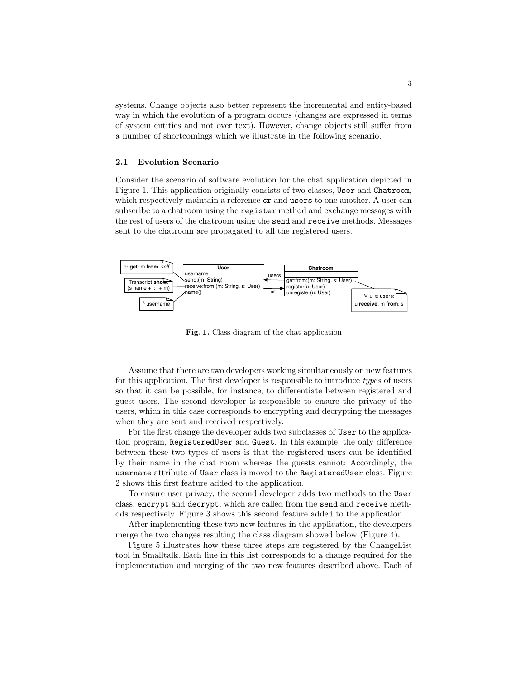systems. Change objects also better represent the incremental and entity-based way in which the evolution of a program occurs (changes are expressed in terms of system entities and not over text). However, change objects still suffer from a number of shortcomings which we illustrate in the following scenario.

#### 2.1 Evolution Scenario

Consider the scenario of software evolution for the chat application depicted in Figure 1. This application originally consists of two classes, User and Chatroom, which respectively maintain a reference  $cr$  and users to one another. A user can subscribe to a chatroom using the register method and exchange messages with the rest of users of the chatroom using the send and receive methods. Messages sent to the chatroom are propagated to all the registered users.



Fig. 1. Class diagram of the chat application

Assume that there are two developers working simultaneously on new features for this application. The first developer is responsible to introduce types of users so that it can be possible, for instance, to differentiate between registered and guest users. The second developer is responsible to ensure the privacy of the users, which in this case corresponds to encrypting and decrypting the messages when they are sent and received respectively.

For the first change the developer adds two subclasses of User to the application program, RegisteredUser and Guest. In this example, the only difference between these two types of users is that the registered users can be identified by their name in the chat room whereas the guests cannot: Accordingly, the username attribute of User class is moved to the RegisteredUser class. Figure 2 shows this first feature added to the application.

To ensure user privacy, the second developer adds two methods to the User class, encrypt and decrypt, which are called from the send and receive methods respectively. Figure 3 shows this second feature added to the application.

After implementing these two new features in the application, the developers merge the two changes resulting the class diagram showed below (Figure 4).

Figure 5 illustrates how these three steps are registered by the ChangeList tool in Smalltalk. Each line in this list corresponds to a change required for the implementation and merging of the two new features described above. Each of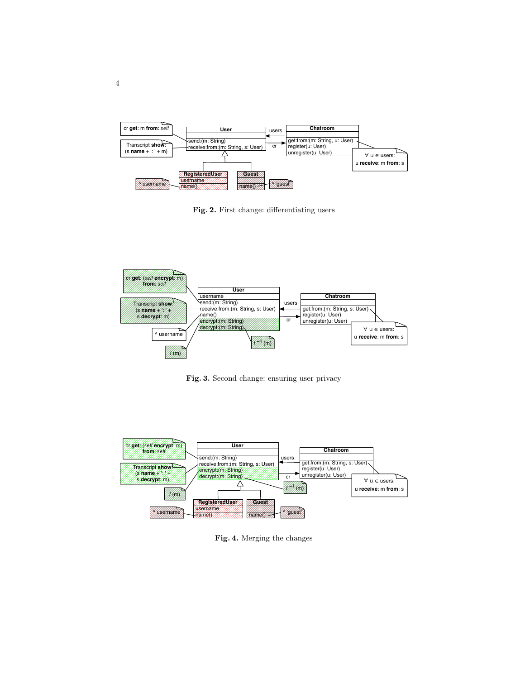

Fig. 2. First change: differentiating users



Fig. 3. Second change: ensuring user privacy



Fig. 4. Merging the changes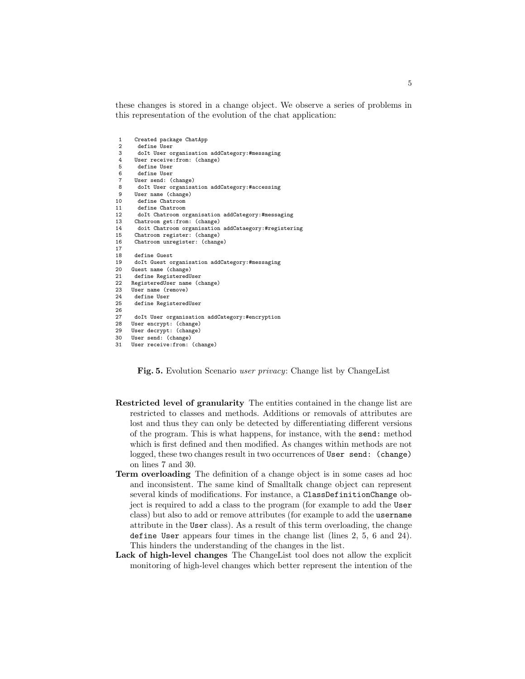these changes is stored in a change object. We observe a series of problems in this representation of the evolution of the chat application:

| $\mathbf{1}$   | Created package ChatApp                              |  |  |  |  |
|----------------|------------------------------------------------------|--|--|--|--|
| $\overline{2}$ | define User                                          |  |  |  |  |
| 3              | doIt User organisation addCategory:#messaging        |  |  |  |  |
| 4              | User receive: from: (change)                         |  |  |  |  |
| 5              | define User                                          |  |  |  |  |
| 6              | define User                                          |  |  |  |  |
| $\overline{7}$ | User send: (change)                                  |  |  |  |  |
| 8              | doIt User organisation addCategory:#accessing        |  |  |  |  |
| 9              | User name (change)                                   |  |  |  |  |
| 10             | define Chatroom                                      |  |  |  |  |
| 11             | define Chatroom                                      |  |  |  |  |
| 12             | doIt Chatroom organisation addCategory:#messaging    |  |  |  |  |
| 13             | Chatroom get: from: (change)                         |  |  |  |  |
| 14             | doit Chatroom organisation addCataegory:#registering |  |  |  |  |
| 15             | Chatroom register: (change)                          |  |  |  |  |
| 16             | Chatroom unregister: (change)                        |  |  |  |  |
| 17             |                                                      |  |  |  |  |
| 18             | define Guest                                         |  |  |  |  |
| 19             | doIt Guest organisation addCategory:#messaging       |  |  |  |  |
| 20             | Guest name (change)                                  |  |  |  |  |
| 21             | define RegisteredUser                                |  |  |  |  |
| 22             | RegisteredUser name (change)                         |  |  |  |  |
| 23             | User name (remove)                                   |  |  |  |  |
| 24             | define User                                          |  |  |  |  |
| 25             | define RegisteredUser                                |  |  |  |  |
| 26             |                                                      |  |  |  |  |
| 27             | doIt User organisation addCategory:#encryption       |  |  |  |  |
| 28             | User encrypt: (change)                               |  |  |  |  |
| 29             | User decrypt: (change)                               |  |  |  |  |
| 30             | User send: (change)                                  |  |  |  |  |
| 31             | User receive: from: (change)                         |  |  |  |  |
|                |                                                      |  |  |  |  |

Fig. 5. Evolution Scenario user privacy: Change list by ChangeList

- Restricted level of granularity The entities contained in the change list are restricted to classes and methods. Additions or removals of attributes are lost and thus they can only be detected by differentiating different versions of the program. This is what happens, for instance, with the send: method which is first defined and then modified. As changes within methods are not logged, these two changes result in two occurrences of User send: (change) on lines 7 and 30.
- Term overloading The definition of a change object is in some cases ad hoc and inconsistent. The same kind of Smalltalk change object can represent several kinds of modifications. For instance, a ClassDefinitionChange object is required to add a class to the program (for example to add the User class) but also to add or remove attributes (for example to add the username attribute in the User class). As a result of this term overloading, the change define User appears four times in the change list (lines 2, 5, 6 and 24). This hinders the understanding of the changes in the list.
- Lack of high-level changes The ChangeList tool does not allow the explicit monitoring of high-level changes which better represent the intention of the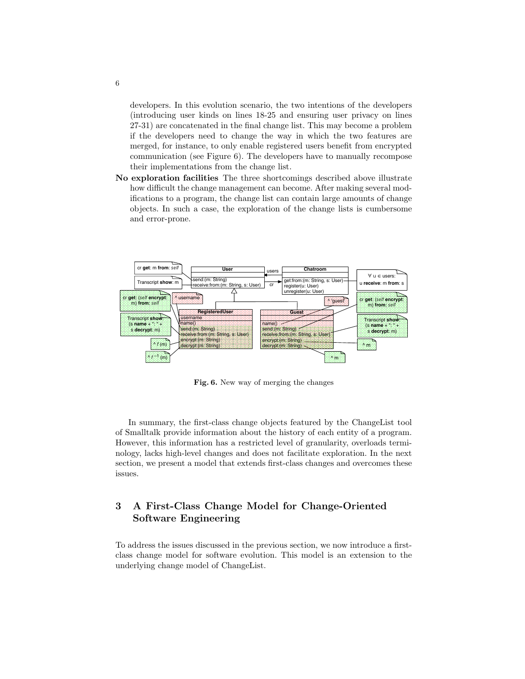developers. In this evolution scenario, the two intentions of the developers (introducing user kinds on lines 18-25 and ensuring user privacy on lines 27-31) are concatenated in the final change list. This may become a problem if the developers need to change the way in which the two features are merged, for instance, to only enable registered users benefit from encrypted communication (see Figure 6). The developers have to manually recompose their implementations from the change list.

No exploration facilities The three shortcomings described above illustrate how difficult the change management can become. After making several modifications to a program, the change list can contain large amounts of change objects. In such a case, the exploration of the change lists is cumbersome and error-prone.



Fig. 6. New way of merging the changes

In summary, the first-class change objects featured by the ChangeList tool of Smalltalk provide information about the history of each entity of a program. However, this information has a restricted level of granularity, overloads terminology, lacks high-level changes and does not facilitate exploration. In the next section, we present a model that extends first-class changes and overcomes these issues.

# 3 A First-Class Change Model for Change-Oriented Software Engineering

To address the issues discussed in the previous section, we now introduce a firstclass change model for software evolution. This model is an extension to the underlying change model of ChangeList.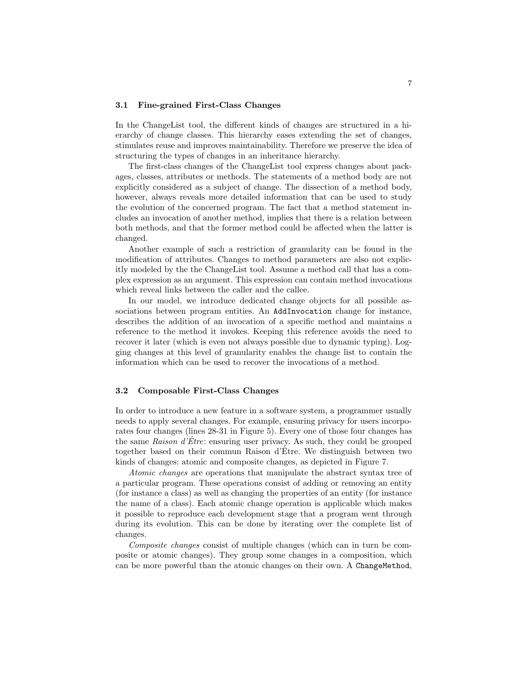#### 3.1 Fine-grained First-Class Changes

In the ChangeList tool, the different kinds of changes are structured in a hierarchy of change classes. This hierarchy eases extending the set of changes, stimulates reuse and improves maintainability. Therefore we preserve the idea of structuring the types of changes in an inheritance hierarchy.

The first-class changes of the ChangeList tool express changes about packages, classes, attributes or methods. The statements of a method body are not explicitly considered as a subject of change. The dissection of a method body, however, always reveals more detailed information that can be used to study the evolution of the concerned program. The fact that a method statement includes an invocation of another method, implies that there is a relation between both methods, and that the former method could be affected when the latter is changed.

Another example of such a restriction of granularity can be found in the modification of attributes. Changes to method parameters are also not explicitly modeled by the the ChangeList tool. Assume a method call that has a complex expression as an argument. This expression can contain method invocations which reveal links between the caller and the callee.

In our model, we introduce dedicated change objects for all possible associations between program entities. An AddInvocation change for instance, describes the addition of an invocation of a specific method and maintains a reference to the method it invokes. Keeping this reference avoids the need to recover it later (which is even not always possible due to dynamic typing). Logging changes at this level of granularity enables the change list to contain the information which can be used to recover the invocations of a method.

#### 3.2 Composable First-Class Changes

In order to introduce a new feature in a software system, a programmer usually needs to apply several changes. For example, ensuring privacy for users incorporates four changes (lines 28-31 in Figure 5). Every one of those four changes has the same Raison d'Etre: ensuring user privacy. As such, they could be grouped together based on their commun Raison d'Etre. We distinguish between two kinds of changes: atomic and composite changes, as depicted in Figure 7.

Atomic changes are operations that manipulate the abstract syntax tree of a particular program. These operations consist of adding or removing an entity (for instance a class) as well as changing the properties of an entity (for instance the name of a class). Each atomic change operation is applicable which makes it possible to reproduce each development stage that a program went through during its evolution. This can be done by iterating over the complete list of changes.

Composite changes consist of multiple changes (which can in turn be composite or atomic changes). They group some changes in a composition, which can be more powerful than the atomic changes on their own. A ChangeMethod,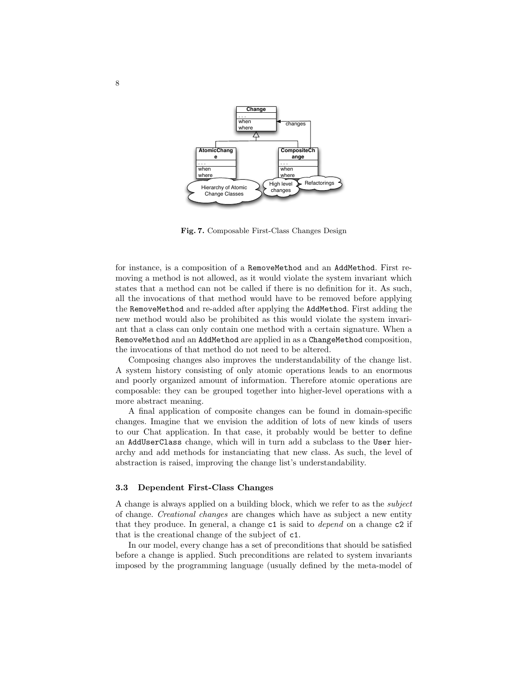

Fig. 7. Composable First-Class Changes Design

for instance, is a composition of a RemoveMethod and an AddMethod. First removing a method is not allowed, as it would violate the system invariant which states that a method can not be called if there is no definition for it. As such, all the invocations of that method would have to be removed before applying the RemoveMethod and re-added after applying the AddMethod. First adding the new method would also be prohibited as this would violate the system invariant that a class can only contain one method with a certain signature. When a RemoveMethod and an AddMethod are applied in as a ChangeMethod composition, the invocations of that method do not need to be altered.

Composing changes also improves the understandability of the change list. A system history consisting of only atomic operations leads to an enormous and poorly organized amount of information. Therefore atomic operations are composable: they can be grouped together into higher-level operations with a more abstract meaning.

A final application of composite changes can be found in domain-specific changes. Imagine that we envision the addition of lots of new kinds of users to our Chat application. In that case, it probably would be better to define an AddUserClass change, which will in turn add a subclass to the User hierarchy and add methods for instanciating that new class. As such, the level of abstraction is raised, improving the change list's understandability.

#### 3.3 Dependent First-Class Changes

A change is always applied on a building block, which we refer to as the subject of change. Creational changes are changes which have as subject a new entity that they produce. In general, a change c1 is said to depend on a change c2 if that is the creational change of the subject of c1.

In our model, every change has a set of preconditions that should be satisfied before a change is applied. Such preconditions are related to system invariants imposed by the programming language (usually defined by the meta-model of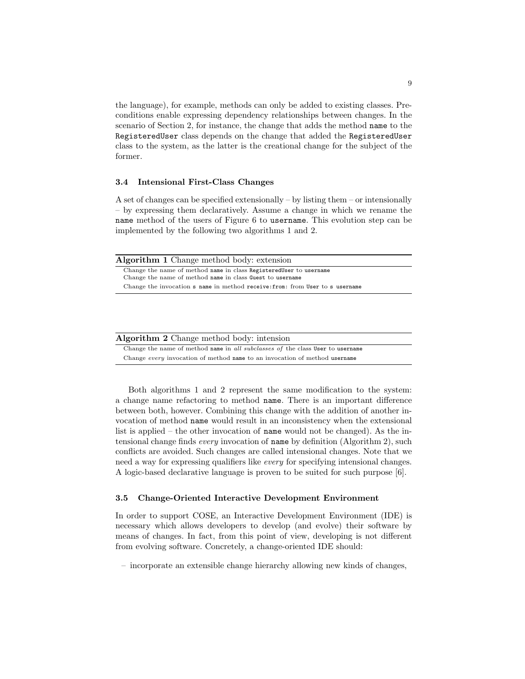the language), for example, methods can only be added to existing classes. Preconditions enable expressing dependency relationships between changes. In the scenario of Section 2, for instance, the change that adds the method name to the RegisteredUser class depends on the change that added the RegisteredUser class to the system, as the latter is the creational change for the subject of the former.

#### 3.4 Intensional First-Class Changes

A set of changes can be specified extensionally – by listing them – or intensionally – by expressing them declaratively. Assume a change in which we rename the name method of the users of Figure 6 to username. This evolution step can be implemented by the following two algorithms 1 and 2.

| <b>Algorithm 1</b> Change method body: extension                                                                                |  |  |  |  |
|---------------------------------------------------------------------------------------------------------------------------------|--|--|--|--|
| Change the name of method name in class RegisteredUser to username<br>Change the name of method name in class Guest to username |  |  |  |  |
| Change the invocation s name in method receive: from: from User to s username                                                   |  |  |  |  |
|                                                                                                                                 |  |  |  |  |

| <b>Algorithm 2</b> Change method body: intension                               |  |
|--------------------------------------------------------------------------------|--|
| Change the name of method name in all subclasses of the class User to username |  |
| Change every invocation of method name to an invocation of method username     |  |

Both algorithms 1 and 2 represent the same modification to the system: a change name refactoring to method name. There is an important difference between both, however. Combining this change with the addition of another invocation of method name would result in an inconsistency when the extensional list is applied – the other invocation of name would not be changed). As the intensional change finds every invocation of name by definition (Algorithm 2), such conflicts are avoided. Such changes are called intensional changes. Note that we need a way for expressing qualifiers like every for specifying intensional changes. A logic-based declarative language is proven to be suited for such purpose [6].

#### 3.5 Change-Oriented Interactive Development Environment

In order to support COSE, an Interactive Development Environment (IDE) is necessary which allows developers to develop (and evolve) their software by means of changes. In fact, from this point of view, developing is not different from evolving software. Concretely, a change-oriented IDE should:

– incorporate an extensible change hierarchy allowing new kinds of changes,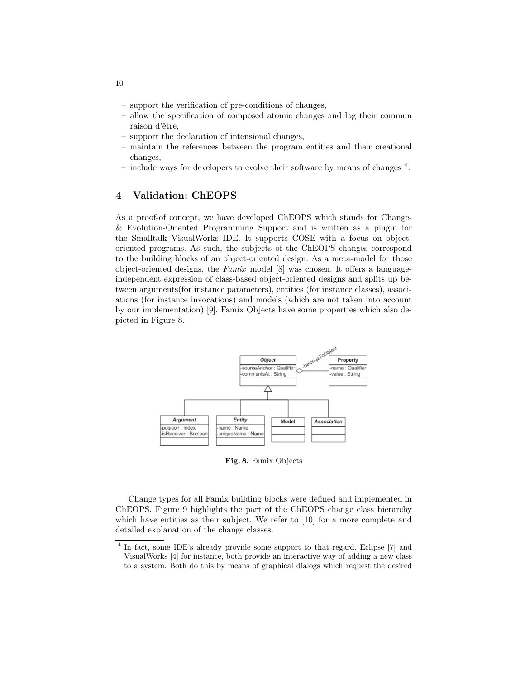- support the verification of pre-conditions of changes,
- allow the specification of composed atomic changes and log their commun raison d'être,
- support the declaration of intensional changes,
- maintain the references between the program entities and their creational changes,
- include ways for developers to evolve their software by means of changes  $4$ .

# 4 Validation: ChEOPS

As a proof-of concept, we have developed ChEOPS which stands for Change- & Evolution-Oriented Programming Support and is written as a plugin for the Smalltalk VisualWorks IDE. It supports COSE with a focus on objectoriented programs. As such, the subjects of the ChEOPS changes correspond to the building blocks of an object-oriented design. As a meta-model for those object-oriented designs, the Famix model  $[8]$  was chosen. It offers a languageindependent expression of class-based object-oriented designs and splits up between arguments(for instance parameters), entities (for instance classes), associations (for instance invocations) and models (which are not taken into account by our implementation) [9]. Famix Objects have some properties which also depicted in Figure 8.



Fig. 8. Famix Objects

Change types for all Famix building blocks were defined and implemented in ChEOPS. Figure 9 highlights the part of the ChEOPS change class hierarchy which have entities as their subject. We refer to [10] for a more complete and detailed explanation of the change classes.

<sup>&</sup>lt;sup>4</sup> In fact, some IDE's already provide some support to that regard. Eclipse [7] and VisualWorks [4] for instance, both provide an interactive way of adding a new class to a system. Both do this by means of graphical dialogs which request the desired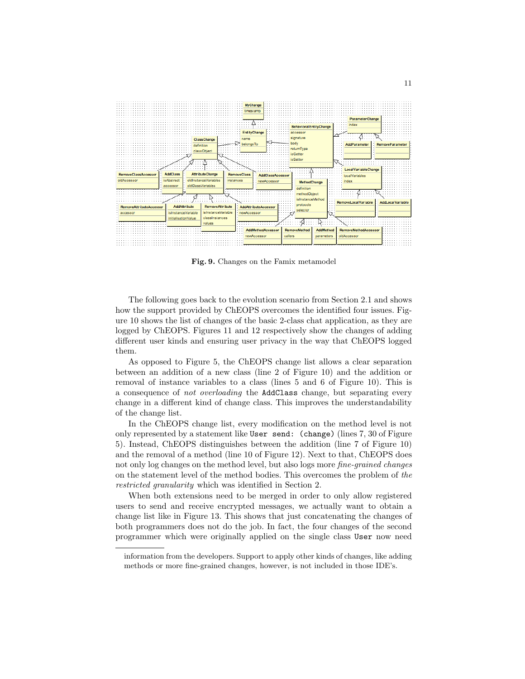

Fig. 9. Changes on the Famix metamodel

The following goes back to the evolution scenario from Section 2.1 and shows how the support provided by ChEOPS overcomes the identified four issues. Figure 10 shows the list of changes of the basic 2-class chat application, as they are logged by ChEOPS. Figures 11 and 12 respectively show the changes of adding different user kinds and ensuring user privacy in the way that ChEOPS logged them.

As opposed to Figure 5, the ChEOPS change list allows a clear separation between an addition of a new class (line 2 of Figure 10) and the addition or removal of instance variables to a class (lines 5 and 6 of Figure 10). This is a consequence of not overloading the AddClass change, but separating every change in a different kind of change class. This improves the understandability of the change list.

In the ChEOPS change list, every modification on the method level is not only represented by a statement like User send: (change) (lines 7, 30 of Figure 5). Instead, ChEOPS distinguishes between the addition (line 7 of Figure 10) and the removal of a method (line 10 of Figure 12). Next to that, ChEOPS does not only log changes on the method level, but also logs more fine-grained changes on the statement level of the method bodies. This overcomes the problem of the restricted granularity which was identified in Section 2.

When both extensions need to be merged in order to only allow registered users to send and receive encrypted messages, we actually want to obtain a change list like in Figure 13. This shows that just concatenating the changes of both programmers does not do the job. In fact, the four changes of the second programmer which were originally applied on the single class User now need

information from the developers. Support to apply other kinds of changes, like adding methods or more fine-grained changes, however, is not included in those IDE's.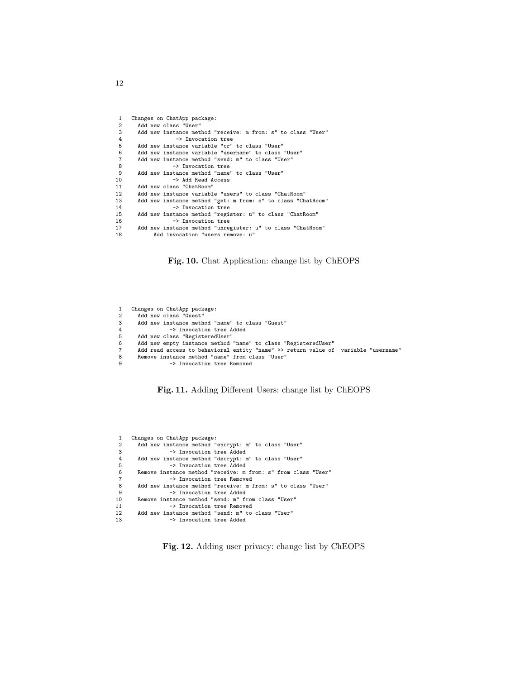```
1 Changes on ChatApp package:
2 Add new class "User"<br>3 Add new instance met
        Add new instance method "receive: m from: s" to class "User"
4 -> Invocation tree
 5 Add new instance variable "cr" to class "User"
6 Add new instance variable "username" to class "User"
7 Add new instance method "send: m" to class "User"
8 -> Invocation tree<br>9 Add new instance method "name"
        Add new instance method "name" to class "User"
10 -> Add Read Access<br>11 Add new class "ChatRoom"
        Add new class "ChatRoom"
12 Add new instance variable "users" to class "ChatRoom"
13 Add new instance method "get: m from: s" to class "ChatRoom"<br>14 -> Invocation tree
                    -> Invocation tree
15 Add new instance method "register: u" to class "ChatRoom"
16 -> Invocation tree<br>17 Add new instance method "unree
17 Add new instance method "unregister: u" to class "ChatRoom"<br>18 Add invocation "users remove: u"
             Add invocation "users remove: u"
```
Fig. 10. Chat Application: change list by ChEOPS

```
1 Changes on ChatApp package:
2 Add new class "Guest"
3 Add new instance method "name" to class "Guest"<br>4 -> Invocation tree Added
                    -> Invocation tree Added
5 Add new class "RegisteredUser"
6 Add new empty instance method "name" to class "RegisteredUser"
7 Add read access to behavioral entity "name" >> return value of variable "username"<br>8 Remove instance method "name" from class "User"
8 Remove instance method "name" from class "User"<br>9 -> Invocation tree Removed
                     -> Invocation tree Removed
```
Fig. 11. Adding Different Users: change list by ChEOPS

```
1 Changes on ChatApp package:
2 Add new instance method "encrypt: m" to class "User"<br>3 -> Invocation tree Added
                     -> Invocation tree Added
4 Add new instance method "decrypt: m" to class "User"
 5 -> Invocation tree Added<br>6 Remove instance method "receive: m
6 Remove instance method "receive: m from: s" from class "User"
 7 -> Invocation tree Removed<br>8 Add new instance method "receive: m f
8 Add new instance method "receive: m from: s" to class "User"<br>9 -> Invocation tree Added
9 -> Invocation tree Added<br>10 Remove instance method "send: m" fr
10 Remove instance method "send: m" from class "User"<br>11 -> Invocation tree Removed
11 -> Invocation tree Removed<br>12 Add new instance method "send: m" to
12 Add new instance method "send: m" to class "User"<br>13 -> Invocation tree Added
                      -> Invocation tree Added
```
Fig. 12. Adding user privacy: change list by ChEOPS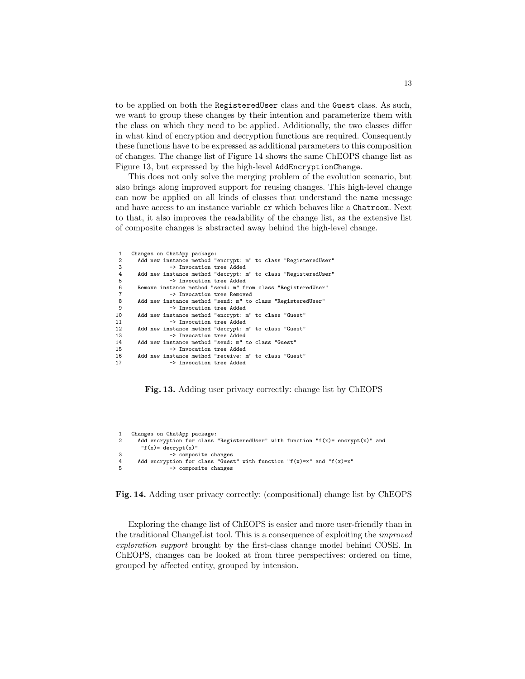to be applied on both the RegisteredUser class and the Guest class. As such, we want to group these changes by their intention and parameterize them with the class on which they need to be applied. Additionally, the two classes differ in what kind of encryption and decryption functions are required. Consequently these functions have to be expressed as additional parameters to this composition of changes. The change list of Figure 14 shows the same ChEOPS change list as Figure 13, but expressed by the high-level AddEncryptionChange.

This does not only solve the merging problem of the evolution scenario, but also brings along improved support for reusing changes. This high-level change can now be applied on all kinds of classes that understand the name message and have access to an instance variable cr which behaves like a Chatroom. Next to that, it also improves the readability of the change list, as the extensive list of composite changes is abstracted away behind the high-level change.

```
1 Changes on ChatApp package:<br>2 Add new instance method "
 2 Add new instance method "encrypt: m" to class "RegisteredUser"<br>3 -> Invocation tree Added
 3 -> Invocation tree Added<br>4 Add new instance method "decrypt: 1
 4 Add new instance method "decrypt: m" to class "RegisteredUser"
 5 -> Invocation tree Added<br>6 Remove instance method "send: m" fi
 6 Remove instance method "send: m" from class "RegisteredUser"
 7 -> Invocation tree Removed<br>8 Add new instance method "send: m" to
 8 Add new instance method "send: m" to class "RegisteredUser"<br>9 -> Invocation tree Added
9 -> Invocation tree Added<br>10 Add new instance method "encrypt: n
10 Add new instance method "encrypt: m" to class "Guest"<br>11 -> Invocation tree Added
11 -> Invocation tree Added<br>12 Add new instance method "decrypt: n
12 Add new instance method "decrypt: m" to class "Guest"<br>13 -> Invocation tree Added
13 -> Invocation tree Added<br>14 Add new instance method "send: m" 1
14 Add new instance method "send: m" to class "Guest"<br>15 -> Invocation tree Added
                       -> Invocation tree Added
16 Add new instance method "receive: m" to class "Guest"<br>17 -> Invocation tree Added
                        -> Invocation tree Added
```
Fig. 13. Adding user privacy correctly: change list by ChEOPS

```
1 Changes on ChatApp package:
2 Add encryption for class "RegisteredUser" with function "f(x) = encrypt(x)" and
       "f(x) = decrypt(x)"
3 -> composite changes<br>4 Add encryption for class "Gues
      Add encryption for class "Guest" with function "f(x)=x" and "f(x)=x"
5 -> composite changes
```
Fig. 14. Adding user privacy correctly: (compositional) change list by ChEOPS

Exploring the change list of ChEOPS is easier and more user-friendly than in the traditional ChangeList tool. This is a consequence of exploiting the improved exploration support brought by the first-class change model behind COSE. In ChEOPS, changes can be looked at from three perspectives: ordered on time, grouped by affected entity, grouped by intension.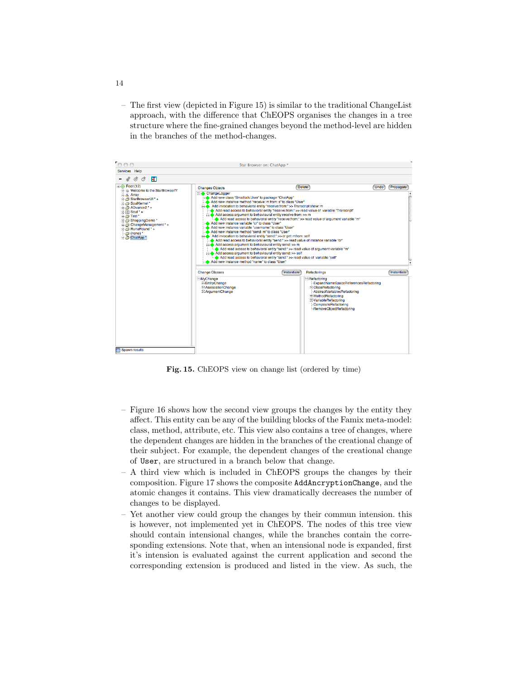– The first view (depicted in Figure 15) is similar to the traditional ChangeList approach, with the difference that ChEOPS organises the changes in a tree structure where the fine-grained changes beyond the method-level are hidden in the branches of the method-changes.



Fig. 15. ChEOPS view on change list (ordered by time)

- Figure 16 shows how the second view groups the changes by the entity they affect. This entity can be any of the building blocks of the Famix meta-model: class, method, attribute, etc. This view also contains a tree of changes, where the dependent changes are hidden in the branches of the creational change of their subject. For example, the dependent changes of the creational change of User, are structured in a branch below that change.
- A third view which is included in ChEOPS groups the changes by their composition. Figure 17 shows the composite AddAncryptionChange, and the atomic changes it contains. This view dramatically decreases the number of changes to be displayed.
- Yet another view could group the changes by their commun intension. this is however, not implemented yet in ChEOPS. The nodes of this tree view should contain intensional changes, while the branches contain the corresponding extensions. Note that, when an intensional node is expanded, first it's intension is evaluated against the current application and second the corresponding extension is produced and listed in the view. As such, the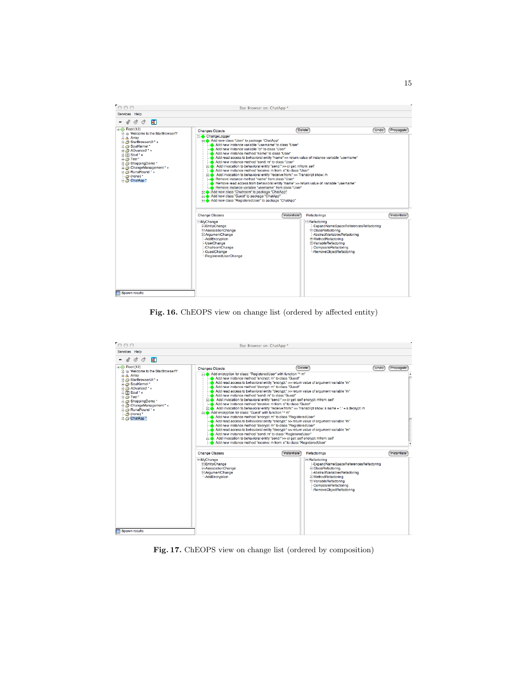

Fig. 16. ChEOPS view on change list (ordered by affected entity)



Fig. 17. ChEOPS view on change list (ordered by composition)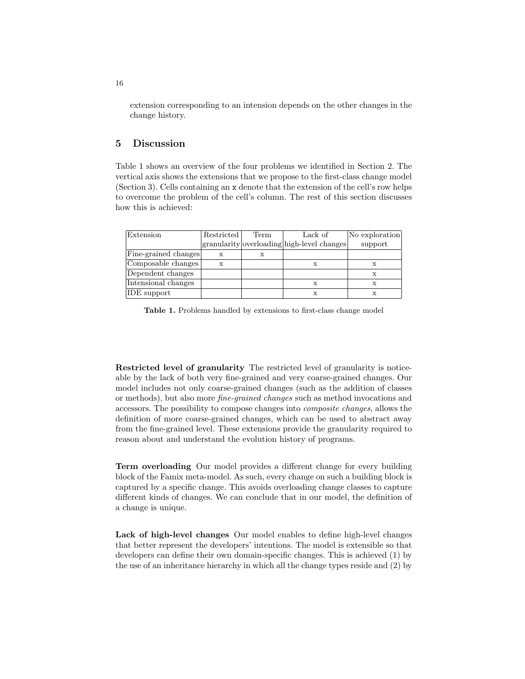extension corresponding to an intension depends on the other changes in the change history.

## 5 Discussion

Table 1 shows an overview of the four problems we identified in Section 2. The vertical axis shows the extensions that we propose to the first-class change model (Section 3). Cells containing an x denote that the extension of the cell's row helps to overcome the problem of the cell's column. The rest of this section discusses how this is achieved:

| Extension            | Restricted | Term | Lack of                                    | No exploration |
|----------------------|------------|------|--------------------------------------------|----------------|
|                      |            |      | granularity overloading high-level changes | support        |
| Fine-grained changes | х          |      |                                            |                |
| Composable changes   | х          |      |                                            |                |
| Dependent changes    |            |      |                                            | X              |
| Intensional changes  |            |      | X                                          | X              |
| <b>IDE</b> support   |            |      |                                            |                |

Table 1. Problems handled by extensions to first-class change model

Restricted level of granularity The restricted level of granularity is noticeable by the lack of both very fine-grained and very coarse-grained changes. Our model includes not only coarse-grained changes (such as the addition of classes or methods), but also more fine-grained changes such as method invocations and accessors. The possibility to compose changes into composite changes, allows the definition of more coarse-grained changes, which can be used to abstract away from the fine-grained level. These extensions provide the granularity required to reason about and understand the evolution history of programs.

Term overloading Our model provides a different change for every building block of the Famix meta-model. As such, every change on such a building block is captured by a specific change. This avoids overloading change classes to capture different kinds of changes. We can conclude that in our model, the definition of a change is unique.

Lack of high-level changes Our model enables to define high-level changes that better represent the developers' intentions. The model is extensible so that developers can define their own domain-specific changes. This is achieved (1) by the use of an inheritance hierarchy in which all the change types reside and (2) by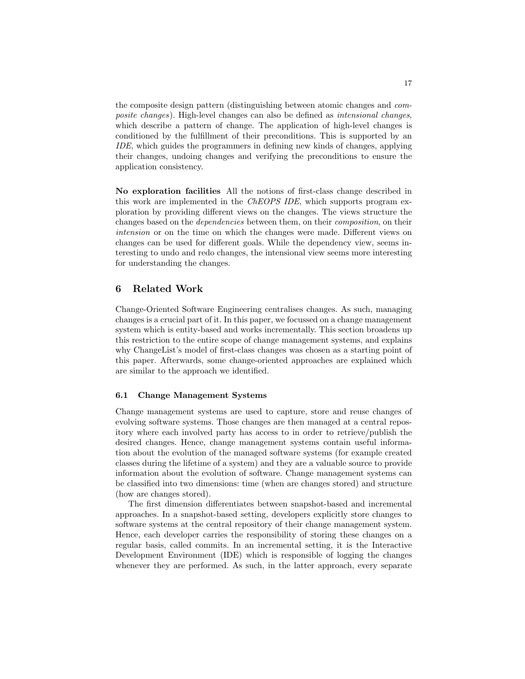the composite design pattern (distinguishing between atomic changes and composite changes). High-level changes can also be defined as intensional changes, which describe a pattern of change. The application of high-level changes is conditioned by the fulfillment of their preconditions. This is supported by an IDE, which guides the programmers in defining new kinds of changes, applying their changes, undoing changes and verifying the preconditions to ensure the application consistency.

No exploration facilities All the notions of first-class change described in this work are implemented in the ChEOPS IDE, which supports program exploration by providing different views on the changes. The views structure the changes based on the dependencies between them, on their composition, on their intension or on the time on which the changes were made. Different views on changes can be used for different goals. While the dependency view, seems interesting to undo and redo changes, the intensional view seems more interesting for understanding the changes.

# 6 Related Work

Change-Oriented Software Engineering centralises changes. As such, managing changes is a crucial part of it. In this paper, we focussed on a change management system which is entity-based and works incrementally. This section broadens up this restriction to the entire scope of change management systems, and explains why ChangeList's model of first-class changes was chosen as a starting point of this paper. Afterwards, some change-oriented approaches are explained which are similar to the approach we identified.

#### 6.1 Change Management Systems

Change management systems are used to capture, store and reuse changes of evolving software systems. Those changes are then managed at a central repository where each involved party has access to in order to retrieve/publish the desired changes. Hence, change management systems contain useful information about the evolution of the managed software systems (for example created classes during the lifetime of a system) and they are a valuable source to provide information about the evolution of software. Change management systems can be classified into two dimensions: time (when are changes stored) and structure (how are changes stored).

The first dimension differentiates between snapshot-based and incremental approaches. In a snapshot-based setting, developers explicitly store changes to software systems at the central repository of their change management system. Hence, each developer carries the responsibility of storing these changes on a regular basis, called commits. In an incremental setting, it is the Interactive Development Environment (IDE) which is responsible of logging the changes whenever they are performed. As such, in the latter approach, every separate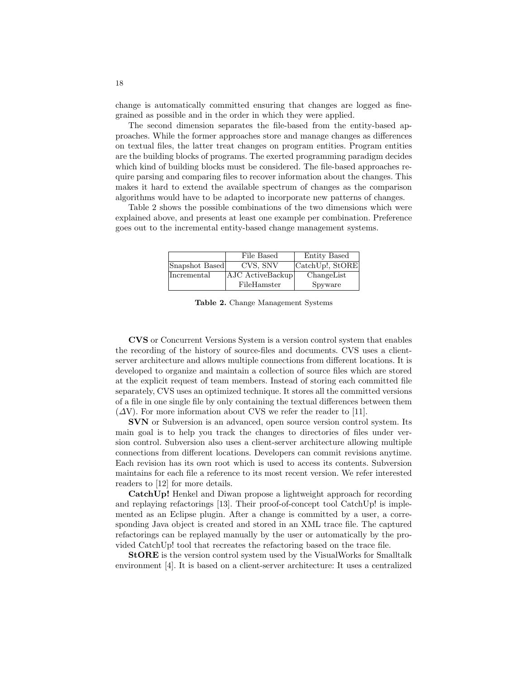change is automatically committed ensuring that changes are logged as finegrained as possible and in the order in which they were applied.

The second dimension separates the file-based from the entity-based approaches. While the former approaches store and manage changes as differences on textual files, the latter treat changes on program entities. Program entities are the building blocks of programs. The exerted programming paradigm decides which kind of building blocks must be considered. The file-based approaches require parsing and comparing files to recover information about the changes. This makes it hard to extend the available spectrum of changes as the comparison algorithms would have to be adapted to incorporate new patterns of changes.

Table 2 shows the possible combinations of the two dimensions which were explained above, and presents at least one example per combination. Preference goes out to the incremental entity-based change management systems.

|                | File Based       | Entity Based                    |
|----------------|------------------|---------------------------------|
| Snapshot Based | CVS, SNV         | $ {\rm CatchUp!}, {\rm StORE} $ |
| Incremental    | AJC ActiveBackup | ChangeList                      |
|                | FileHamster      | Spyware                         |

Table 2. Change Management Systems

CVS or Concurrent Versions System is a version control system that enables the recording of the history of source-files and documents. CVS uses a clientserver architecture and allows multiple connections from different locations. It is developed to organize and maintain a collection of source files which are stored at the explicit request of team members. Instead of storing each committed file separately, CVS uses an optimized technique. It stores all the committed versions of a file in one single file by only containing the textual differences between them  $(\Delta V)$ . For more information about CVS we refer the reader to [11].

SVN or Subversion is an advanced, open source version control system. Its main goal is to help you track the changes to directories of files under version control. Subversion also uses a client-server architecture allowing multiple connections from different locations. Developers can commit revisions anytime. Each revision has its own root which is used to access its contents. Subversion maintains for each file a reference to its most recent version. We refer interested readers to [12] for more details.

CatchUp! Henkel and Diwan propose a lightweight approach for recording and replaying refactorings [13]. Their proof-of-concept tool CatchUp! is implemented as an Eclipse plugin. After a change is committed by a user, a corresponding Java object is created and stored in an XML trace file. The captured refactorings can be replayed manually by the user or automatically by the provided CatchUp! tool that recreates the refactoring based on the trace file.

StORE is the version control system used by the VisualWorks for Smalltalk environment [4]. It is based on a client-server architecture: It uses a centralized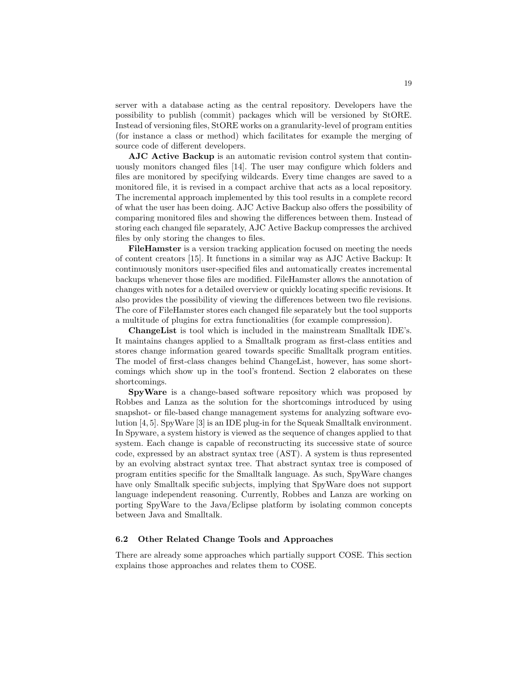server with a database acting as the central repository. Developers have the possibility to publish (commit) packages which will be versioned by StORE. Instead of versioning files, StORE works on a granularity-level of program entities (for instance a class or method) which facilitates for example the merging of source code of different developers.

AJC Active Backup is an automatic revision control system that continuously monitors changed files [14]. The user may configure which folders and files are monitored by specifying wildcards. Every time changes are saved to a monitored file, it is revised in a compact archive that acts as a local repository. The incremental approach implemented by this tool results in a complete record of what the user has been doing. AJC Active Backup also offers the possibility of comparing monitored files and showing the differences between them. Instead of storing each changed file separately, AJC Active Backup compresses the archived files by only storing the changes to files.

FileHamster is a version tracking application focused on meeting the needs of content creators [15]. It functions in a similar way as AJC Active Backup: It continuously monitors user-specified files and automatically creates incremental backups whenever those files are modified. FileHamster allows the annotation of changes with notes for a detailed overview or quickly locating specific revisions. It also provides the possibility of viewing the differences between two file revisions. The core of FileHamster stores each changed file separately but the tool supports a multitude of plugins for extra functionalities (for example compression).

ChangeList is tool which is included in the mainstream Smalltalk IDE's. It maintains changes applied to a Smalltalk program as first-class entities and stores change information geared towards specific Smalltalk program entities. The model of first-class changes behind ChangeList, however, has some shortcomings which show up in the tool's frontend. Section 2 elaborates on these shortcomings.

SpyWare is a change-based software repository which was proposed by Robbes and Lanza as the solution for the shortcomings introduced by using snapshot- or file-based change management systems for analyzing software evolution [4, 5]. SpyWare [3] is an IDE plug-in for the Squeak Smalltalk environment. In Spyware, a system history is viewed as the sequence of changes applied to that system. Each change is capable of reconstructing its successive state of source code, expressed by an abstract syntax tree (AST). A system is thus represented by an evolving abstract syntax tree. That abstract syntax tree is composed of program entities specific for the Smalltalk language. As such, SpyWare changes have only Smalltalk specific subjects, implying that SpyWare does not support language independent reasoning. Currently, Robbes and Lanza are working on porting SpyWare to the Java/Eclipse platform by isolating common concepts between Java and Smalltalk.

#### 6.2 Other Related Change Tools and Approaches

There are already some approaches which partially support COSE. This section explains those approaches and relates them to COSE.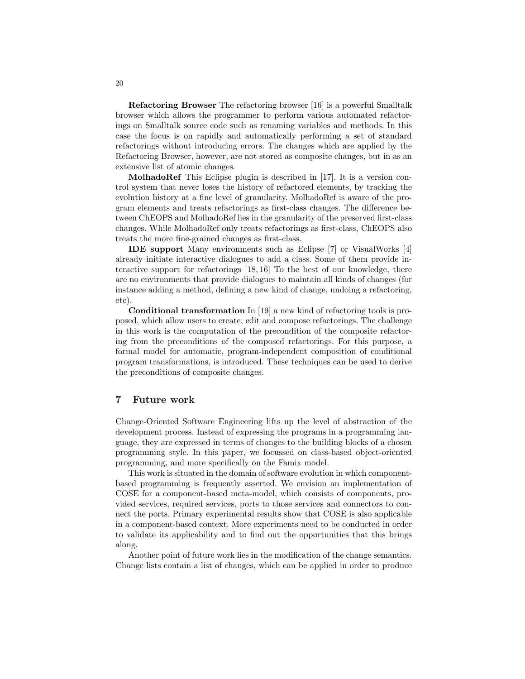Refactoring Browser The refactoring browser [16] is a powerful Smalltalk browser which allows the programmer to perform various automated refactorings on Smalltalk source code such as renaming variables and methods. In this case the focus is on rapidly and automatically performing a set of standard refactorings without introducing errors. The changes which are applied by the Refactoring Browser, however, are not stored as composite changes, but in as an extensive list of atomic changes.

MolhadoRef This Eclipse plugin is described in [17]. It is a version control system that never loses the history of refactored elements, by tracking the evolution history at a fine level of granularity. MolhadoRef is aware of the program elements and treats refactorings as first-class changes. The difference between ChEOPS and MolhadoRef lies in the granularity of the preserved first-class changes. While MolhadoRef only treats refactorings as first-class, ChEOPS also treats the more fine-grained changes as first-class.

IDE support Many environments such as Eclipse [7] or VisualWorks [4] already initiate interactive dialogues to add a class. Some of them provide interactive support for refactorings [18, 16] To the best of our knowledge, there are no environments that provide dialogues to maintain all kinds of changes (for instance adding a method, defining a new kind of change, undoing a refactoring, etc).

Conditional transformation In [19] a new kind of refactoring tools is proposed, which allow users to create, edit and compose refactorings. The challenge in this work is the computation of the precondition of the composite refactoring from the preconditions of the composed refactorings. For this purpose, a formal model for automatic, program-independent composition of conditional program transformations, is introduced. These techniques can be used to derive the preconditions of composite changes.

### 7 Future work

Change-Oriented Software Engineering lifts up the level of abstraction of the development process. Instead of expressing the programs in a programming language, they are expressed in terms of changes to the building blocks of a chosen programming style. In this paper, we focussed on class-based object-oriented programming, and more specifically on the Famix model.

This work is situated in the domain of software evolution in which componentbased programming is frequently asserted. We envision an implementation of COSE for a component-based meta-model, which consists of components, provided services, required services, ports to those services and connectors to connect the ports. Primary experimental results show that COSE is also applicable in a component-based context. More experiments need to be conducted in order to validate its applicability and to find out the opportunities that this brings along.

Another point of future work lies in the modification of the change semantics. Change lists contain a list of changes, which can be applied in order to produce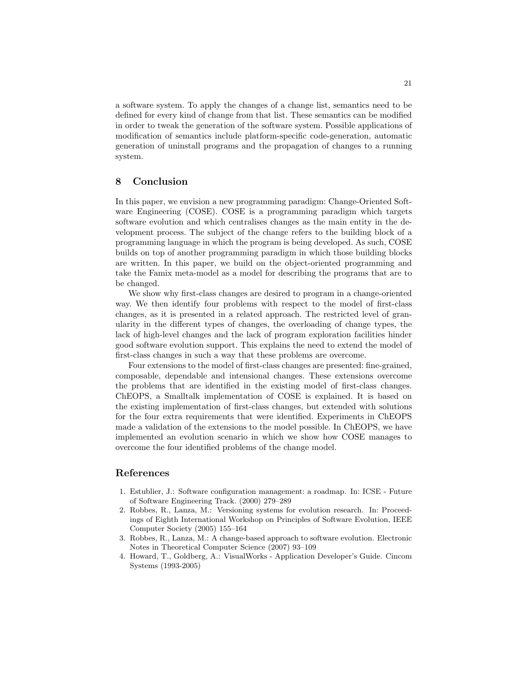a software system. To apply the changes of a change list, semantics need to be defined for every kind of change from that list. These semantics can be modified in order to tweak the generation of the software system. Possible applications of modification of semantics include platform-specific code-generation, automatic generation of uninstall programs and the propagation of changes to a running system.

### 8 Conclusion

In this paper, we envision a new programming paradigm: Change-Oriented Software Engineering (COSE). COSE is a programming paradigm which targets software evolution and which centralises changes as the main entity in the development process. The subject of the change refers to the building block of a programming language in which the program is being developed. As such, COSE builds on top of another programming paradigm in which those building blocks are written. In this paper, we build on the object-oriented programming and take the Famix meta-model as a model for describing the programs that are to be changed.

We show why first-class changes are desired to program in a change-oriented way. We then identify four problems with respect to the model of first-class changes, as it is presented in a related approach. The restricted level of granularity in the different types of changes, the overloading of change types, the lack of high-level changes and the lack of program exploration facilities hinder good software evolution support. This explains the need to extend the model of first-class changes in such a way that these problems are overcome.

Four extensions to the model of first-class changes are presented: fine-grained, composable, dependable and intensional changes. These extensions overcome the problems that are identified in the existing model of first-class changes. ChEOPS, a Smalltalk implementation of COSE is explained. It is based on the existing implementation of first-class changes, but extended with solutions for the four extra requirements that were identified. Experiments in ChEOPS made a validation of the extensions to the model possible. In ChEOPS, we have implemented an evolution scenario in which we show how COSE manages to overcome the four identified problems of the change model.

### References

- 1. Estublier, J.: Software configuration management: a roadmap. In: ICSE Future of Software Engineering Track. (2000) 279–289
- 2. Robbes, R., Lanza, M.: Versioning systems for evolution research. In: Proceedings of Eighth International Workshop on Principles of Software Evolution, IEEE Computer Society (2005) 155–164
- 3. Robbes, R., Lanza, M.: A change-based approach to software evolution. Electronic Notes in Theoretical Computer Science (2007) 93–109
- 4. Howard, T., Goldberg, A.: VisualWorks Application Developer's Guide. Cincom Systems (1993-2005)